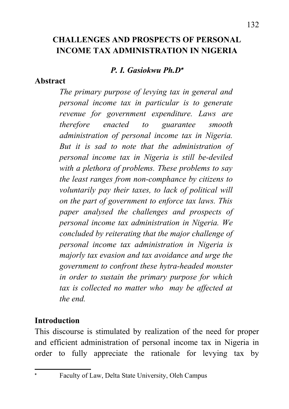#### *P. I. Gasiokwu Ph.D*

#### **Abstract**

*The primary purpose of levying tax in general and personal income tax in particular is to generate revenue for government expenditure. Laws are therefore enacted to guarantee smooth administration of personal income tax in Nigeria. But it is sad to note that the administration of personal income tax in Nigeria is still be-deviled with a plethora of problems. These problems to say the least ranges from non-comphance by citizens to voluntarily pay their taxes, to lack of political will on the part of government to enforce tax laws. This paper analysed the challenges and prospects of personal income tax administration in Nigeria. We concluded by reiterating that the major challenge of personal income tax administration in Nigeria is majorly tax evasion and tax avoidance and urge the government to confront these hytra-headed monster in order to sustain the primary purpose for which tax is collected no matter who may be affected at the end.*

## **Introduction**

This discourse is stimulated by realization of the need for proper and efficient administration of personal income tax in Nigeria in order to fully appreciate the rationale for levying tax by

<span id="page-0-0"></span>Faculty of Law, Delta State University, Oleh Campus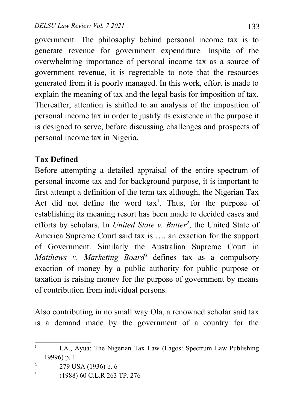government. The philosophy behind personal income tax is to generate revenue for government expenditure. Inspite of the overwhelming importance of personal income tax as a source of government revenue, it is regrettable to note that the resources generated from it is poorly managed. In this work, effort is made to explain the meaning of tax and the legal basis for imposition of tax. Thereafter, attention is shifted to an analysis of the imposition of personal income tax in order to justify its existence in the purpose it is designed to serve, before discussing challenges and prospects of personal income tax in Nigeria.

# **Tax Defined**

Before attempting a detailed appraisal of the entire spectrum of personal income tax and for background purpose, it is important to first attempt a definition of the term tax although, the Nigerian Tax Act did not define the word  $tax<sup>1</sup>$  $tax<sup>1</sup>$  $tax<sup>1</sup>$ . Thus, for the purpose of establishing its meaning resort has been made to decided cases and efforts by scholars. In *United State v. Butter<sup>[2](#page-1-1)</sup>*, the United State of America Supreme Court said tax is …. an exaction for the support of Government. Similarly the Australian Supreme Court in Matthews v. Marketing Board<sup>[3](#page-1-2)</sup> defines tax as a compulsory exaction of money by a public authority for public purpose or taxation is raising money for the purpose of government by means of contribution from individual persons.

Also contributing in no small way Ola, a renowned scholar said tax is a demand made by the government of a country for the

<span id="page-1-0"></span><sup>1</sup> I.A., Ayua: The Nigerian Tax Law (Lagos: Spectrum Law Publishing 19996) p. 1

<span id="page-1-1"></span><sup>2</sup> 279 USA (1936) p. 6

<span id="page-1-2"></span><sup>3</sup> (1988) 60 C.L.R 263 TP. 276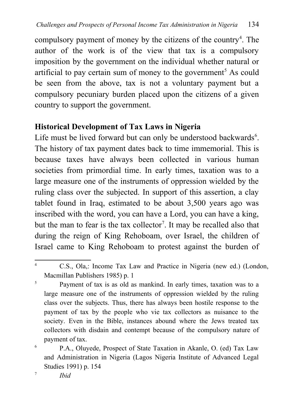compulsory payment of money by the citizens of the country<sup>[4](#page-2-0)</sup>. The author of the work is of the view that tax is a compulsory imposition by the government on the individual whether natural or artificial to pay certain sum of money to the government<sup>[5](#page-2-1)</sup> As could be seen from the above, tax is not a voluntary payment but a compulsory pecuniary burden placed upon the citizens of a given country to support the government.

## **Historical Development of Tax Laws in Nigeria**

Life must be lived forward but can only be understood backwards $6$ . The history of tax payment dates back to time immemorial. This is because taxes have always been collected in various human societies from primordial time. In early times, taxation was to a large measure one of the instruments of oppression wielded by the ruling class over the subjected. In support of this assertion, a clay tablet found in Iraq, estimated to be about 3,500 years ago was inscribed with the word, you can have a Lord, you can have a king, but the man to fear is the tax collector<sup>[7](#page-2-3)</sup>. It may be recalled also that during the reign of King Rehoboam, over Israel, the children of Israel came to King Rehoboam to protest against the burden of

<span id="page-2-0"></span><sup>4</sup> C.S., Ola,: Income Tax Law and Practice in Nigeria (new ed.) (London, Macmillan Publishers 1985) p. 1

<span id="page-2-1"></span><sup>5</sup> Payment of tax is as old as mankind. In early times, taxation was to a large measure one of the instruments of oppression wielded by the ruling class over the subjects. Thus, there has always been hostile response to the payment of tax by the people who vie tax collectors as nuisance to the society. Even in the Bible, instances abound where the Jews treated tax collectors with disdain and contempt because of the compulsory nature of payment of tax.

<span id="page-2-2"></span><sup>6</sup> P.A., Oluyede, Prospect of State Taxation in Akanle, O. (ed) Tax Law and Administration in Nigeria (Lagos Nigeria Institute of Advanced Legal Studies 1991) p. 154

<span id="page-2-3"></span>7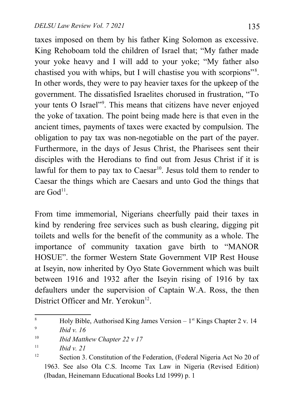taxes imposed on them by his father King Solomon as excessive. King Rehoboam told the children of Israel that; "My father made your yoke heavy and I will add to your yoke; "My father also chastised you with whips, but I will chastise you with scorpions"[8](#page-3-0) . In other words, they were to pay heavier taxes for the upkeep of the government. The dissatisfied Israelites chorused in frustration, "To your tents O Israel"<sup>[9](#page-3-1)</sup>. This means that citizens have never enjoyed the yoke of taxation. The point being made here is that even in the ancient times, payments of taxes were exacted by compulsion. The obligation to pay tax was non-negotiable on the part of the payer. Furthermore, in the days of Jesus Christ, the Pharisees sent their disciples with the Herodians to find out from Jesus Christ if it is lawful for them to pay tax to  $Caesar^{10}$  $Caesar^{10}$  $Caesar^{10}$ . Jesus told them to render to Caesar the things which are Caesars and unto God the things that are  $God<sup>11</sup>$  $God<sup>11</sup>$  $God<sup>11</sup>$ .

From time immemorial, Nigerians cheerfully paid their taxes in kind by rendering free services such as bush clearing, digging pit toilets and wells for the benefit of the community as a whole. The importance of community taxation gave birth to "MANOR HOSUE". the former Western State Government VIP Rest House at Iseyin, now inherited by Oyo State Government which was built between 1916 and 1932 after the Iseyin rising of 1916 by tax defaulters under the supervision of Captain W.A. Ross, the then District Officer and Mr. Yerokun<sup>[12](#page-3-4)</sup>.

<span id="page-3-0"></span><sup>&</sup>lt;sup>8</sup> Holy Bible, Authorised King James Version –  $1<sup>st</sup>$  Kings Chapter 2 v. 14 9 *Ibid v. 16*

<span id="page-3-2"></span><span id="page-3-1"></span><sup>10</sup> *Ibid Matthew Chapter 22 v 17*

<span id="page-3-3"></span> $11$  *Ihid v.* 21

<span id="page-3-4"></span><sup>&</sup>lt;sup>12</sup> Section 3. Constitution of the Federation, (Federal Nigeria Act No 20 of 1963. See also Ola C.S. Income Tax Law in Nigeria (Revised Edition) (Ibadan, Heinemann Educational Books Ltd 1999) p. 1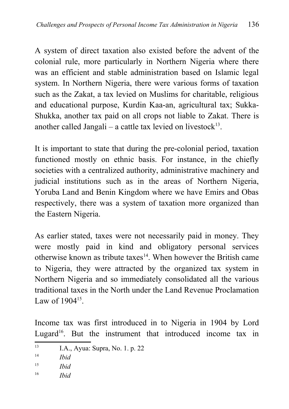A system of direct taxation also existed before the advent of the colonial rule, more particularly in Northern Nigeria where there was an efficient and stable administration based on Islamic legal system. In Northern Nigeria, there were various forms of taxation such as the Zakat, a tax levied on Muslims for charitable, religious and educational purpose, Kurdin Kaa-an, agricultural tax; Sukka-Shukka, another tax paid on all crops not liable to Zakat. There is another called Jangali  $-$  a cattle tax levied on livestock<sup>[13](#page-4-0)</sup>.

It is important to state that during the pre-colonial period, taxation functioned mostly on ethnic basis. For instance, in the chiefly societies with a centralized authority, administrative machinery and judicial institutions such as in the areas of Northern Nigeria, Yoruba Land and Benin Kingdom where we have Emirs and Obas respectively, there was a system of taxation more organized than the Eastern Nigeria.

As earlier stated, taxes were not necessarily paid in money. They were mostly paid in kind and obligatory personal services otherwise known as tribute taxes<sup>[14](#page-4-1)</sup>. When however the British came to Nigeria, they were attracted by the organized tax system in Northern Nigeria and so immediately consolidated all the various traditional taxes in the North under the Land Revenue Proclamation Law of 1904<sup>[15](#page-4-2)</sup>.

Income tax was first introduced in to Nigeria in 1904 by Lord Lugard<sup>[16](#page-4-3)</sup>. But the instrument that introduced income tax in

<span id="page-4-0"></span><sup>13</sup> I.A., Ayua: Supra, No. 1. p. 22

<span id="page-4-1"></span><sup>14</sup> *Ibid*

<span id="page-4-2"></span><sup>15</sup> *Ibid*

<span id="page-4-3"></span><sup>16</sup> *Ibid*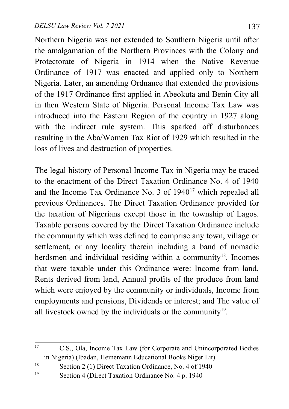Northern Nigeria was not extended to Southern Nigeria until after the amalgamation of the Northern Provinces with the Colony and Protectorate of Nigeria in 1914 when the Native Revenue Ordinance of 1917 was enacted and applied only to Northern Nigeria. Later, an amending Ordnance that extended the provisions of the 1917 Ordinance first applied in Abeokuta and Benin City all in then Western State of Nigeria. Personal Income Tax Law was introduced into the Eastern Region of the country in 1927 along with the indirect rule system. This sparked off disturbances resulting in the Aba/Women Tax Riot of 1929 which resulted in the loss of lives and destruction of properties.

The legal history of Personal Income Tax in Nigeria may be traced to the enactment of the Direct Taxation Ordinance No. 4 of 1940 and the Income Tax Ordinance No. 3 of 1940<sup>[17](#page-5-0)</sup> which repealed all previous Ordinances. The Direct Taxation Ordinance provided for the taxation of Nigerians except those in the township of Lagos. Taxable persons covered by the Direct Taxation Ordinance include the community which was defined to comprise any town, village or settlement, or any locality therein including a band of nomadic herdsmen and individual residing within a community<sup>[18](#page-5-1)</sup>. Incomes that were taxable under this Ordinance were: Income from land, Rents derived from land, Annual profits of the produce from land which were enjoyed by the community or individuals, Income from employments and pensions, Dividends or interest; and The value of all livestock owned by the individuals or the community<sup>[19](#page-5-2)</sup>.

<span id="page-5-0"></span><sup>&</sup>lt;sup>17</sup> C.S., Ola, Income Tax Law (for Corporate and Unincorporated Bodies in Nigeria) (Ibadan, Heinemann Educational Books Niger Lit).

<span id="page-5-1"></span><sup>18</sup> Section 2 (1) Direct Taxation Ordinance, No. 4 of 1940

<span id="page-5-2"></span><sup>19</sup> Section 4 (Direct Taxation Ordinance No. 4 p. 1940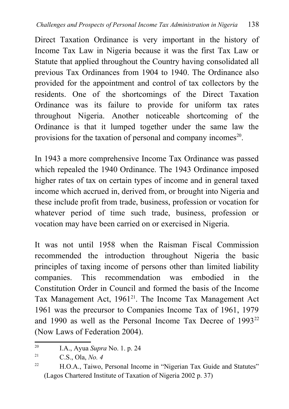Direct Taxation Ordinance is very important in the history of Income Tax Law in Nigeria because it was the first Tax Law or Statute that applied throughout the Country having consolidated all previous Tax Ordinances from 1904 to 1940. The Ordinance also provided for the appointment and control of tax collectors by the residents. One of the shortcomings of the Direct Taxation Ordinance was its failure to provide for uniform tax rates throughout Nigeria. Another noticeable shortcoming of the Ordinance is that it lumped together under the same law the provisions for the taxation of personal and company incomes $20$ .

In 1943 a more comprehensive Income Tax Ordinance was passed which repealed the 1940 Ordinance. The 1943 Ordinance imposed higher rates of tax on certain types of income and in general taxed income which accrued in, derived from, or brought into Nigeria and these include profit from trade, business, profession or vocation for whatever period of time such trade, business, profession or vocation may have been carried on or exercised in Nigeria.

It was not until 1958 when the Raisman Fiscal Commission recommended the introduction throughout Nigeria the basic principles of taxing income of persons other than limited liability companies. This recommendation was embodied in the Constitution Order in Council and formed the basis of the Income Tax Management Act,  $1961^{21}$  $1961^{21}$  $1961^{21}$ . The Income Tax Management Act 1961 was the precursor to Companies Income Tax of 1961, 1979 and 1990 as well as the Personal Income Tax Decree of 1993<sup>[22](#page-6-2)</sup> (Now Laws of Federation 2004).

<span id="page-6-0"></span><sup>20</sup> I.A., Ayua *Supra* No. 1. p. 24

<span id="page-6-1"></span><sup>21</sup> C.S., Ola, *No. 4*

<span id="page-6-2"></span><sup>&</sup>lt;sup>22</sup> H.O.A., Taiwo, Personal Income in "Nigerian Tax Guide and Statutes" (Lagos Chartered Institute of Taxation of Nigeria 2002 p. 37)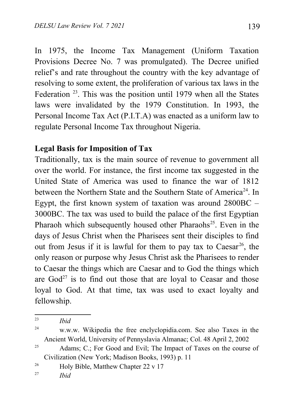In 1975, the Income Tax Management (Uniform Taxation Provisions Decree No. 7 was promulgated). The Decree unified relief's and rate throughout the country with the key advantage of resolving to some extent, the proliferation of various tax laws in the Federation<sup>[23](#page-7-0)</sup>. This was the position until 1979 when all the States laws were invalidated by the 1979 Constitution. In 1993, the Personal Income Tax Act (P.I.T.A) was enacted as a uniform law to regulate Personal Income Tax throughout Nigeria.

#### **Legal Basis for Imposition of Tax**

Traditionally, tax is the main source of revenue to government all over the world. For instance, the first income tax suggested in the United State of America was used to finance the war of 1812 between the Northern State and the Southern State of America<sup>[24](#page-7-1)</sup>. In Egypt, the first known system of taxation was around 2800BC – 3000BC. The tax was used to build the palace of the first Egyptian Pharaoh which subsequently housed other Pharaohs<sup>[25](#page-7-2)</sup>. Even in the days of Jesus Christ when the Pharisees sent their disciples to find out from Jesus if it is lawful for them to pay tax to  $Caesar<sup>26</sup>$  $Caesar<sup>26</sup>$  $Caesar<sup>26</sup>$ , the only reason or purpose why Jesus Christ ask the Pharisees to render to Caesar the things which are Caesar and to God the things which are  $God<sup>27</sup>$  $God<sup>27</sup>$  $God<sup>27</sup>$  is to find out those that are loyal to Ceasar and those loyal to God. At that time, tax was used to exact loyalty and fellowship.

<span id="page-7-0"></span><sup>23</sup> *Ibid*

<span id="page-7-1"></span>

<sup>24</sup> w.w.w. Wikipedia the free enclyclopidia.com. See also Taxes in the Ancient World, University of Pennyslavia Almanac; Col. 48 April 2, 2002

<span id="page-7-2"></span> $25$  Adams; C.; For Good and Evil; The Impact of Taxes on the course of Civilization (New York; Madison Books, 1993) p. 11

<span id="page-7-3"></span><sup>&</sup>lt;sup>26</sup> Holy Bible, Matthew Chapter  $22 \text{ v } 17$ 

<span id="page-7-4"></span><sup>27</sup> *Ibid*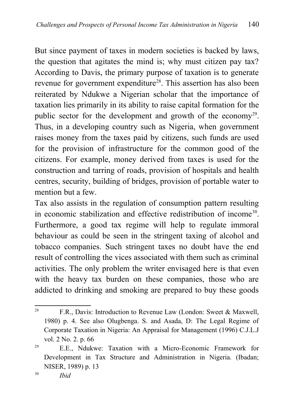But since payment of taxes in modern societies is backed by laws, the question that agitates the mind is; why must citizen pay tax? According to Davis, the primary purpose of taxation is to generate revenue for government expenditure<sup>[28](#page-8-0)</sup>. This assertion has also been reiterated by Ndukwe a Nigerian scholar that the importance of taxation lies primarily in its ability to raise capital formation for the public sector for the development and growth of the economy<sup>[29](#page-8-1)</sup>. Thus, in a developing country such as Nigeria, when government raises money from the taxes paid by citizens, such funds are used for the provision of infrastructure for the common good of the citizens. For example, money derived from taxes is used for the construction and tarring of roads, provision of hospitals and health centres, security, building of bridges, provision of portable water to mention but a few

Tax also assists in the regulation of consumption pattern resulting in economic stabilization and effective redistribution of income<sup>[30](#page-8-2)</sup>. Furthermore, a good tax regime will help to regulate immoral behaviour as could be seen in the stringent taxing of alcohol and tobacco companies. Such stringent taxes no doubt have the end result of controlling the vices associated with them such as criminal activities. The only problem the writer envisaged here is that even with the heavy tax burden on these companies, those who are addicted to drinking and smoking are prepared to buy these goods

<span id="page-8-0"></span><sup>&</sup>lt;sup>28</sup> F.R., Davis: Introduction to Revenue Law (London: Sweet & Maxwell, 1980) p. 4. See also Olugbenga. S. and Asada, D: The Legal Regime of Corporate Taxation in Nigeria: An Appraisal for Management (1996) C.J.L.J vol. 2 No. 2. p. 66

<span id="page-8-2"></span><span id="page-8-1"></span> $29$  E.E., Ndukwe: Taxation with a Micro-Economic Framework for Development in Tax Structure and Administration in Nigeria. (Ibadan; NISER, 1989) p. 13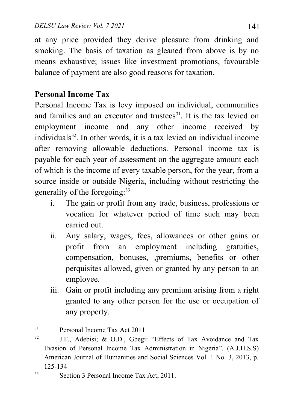at any price provided they derive pleasure from drinking and smoking. The basis of taxation as gleaned from above is by no means exhaustive; issues like investment promotions, favourable balance of payment are also good reasons for taxation.

# **Personal Income Tax**

Personal Income Tax is levy imposed on individual, communities and families and an executor and trustees $31$ . It is the tax levied on employment income and any other income received by  $individuals<sup>32</sup>$  $individuals<sup>32</sup>$  $individuals<sup>32</sup>$ . In other words, it is a tax levied on individual income after removing allowable deductions. Personal income tax is payable for each year of assessment on the aggregate amount each of which is the income of every taxable person, for the year, from a source inside or outside Nigeria, including without restricting the generality of the foregoing:<sup>[33](#page-9-2)</sup>

- i. The gain or profit from any trade, business, professions or vocation for whatever period of time such may been carried out.
- ii. Any salary, wages, fees, allowances or other gains or profit from an employment including gratuities, compensation, bonuses, ,premiums, benefits or other perquisites allowed, given or granted by any person to an employee.
- iii. Gain or profit including any premium arising from a right granted to any other person for the use or occupation of any property.

<span id="page-9-0"></span><sup>31</sup> Personal Income Tax Act 2011

<span id="page-9-1"></span><sup>&</sup>lt;sup>32</sup> J.F., Adebisi; & O.D., Gbegi: "Effects of Tax Avoidance and Tax Evasion of Personal Income Tax Administration in Nigeria". (A.J.H.S.S) American Journal of Humanities and Social Sciences Vol. 1 No. 3, 2013, p. 125-134

<span id="page-9-2"></span><sup>&</sup>lt;sup>33</sup> Section 3 Personal Income Tax Act, 2011.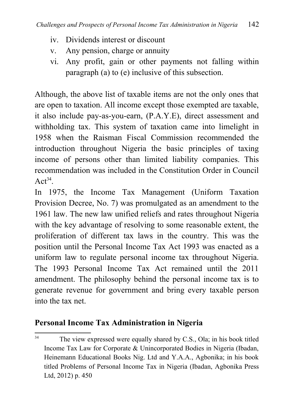- iv. Dividends interest or discount
- v. Any pension, charge or annuity
- vi. Any profit, gain or other payments not falling within paragraph (a) to (e) inclusive of this subsection.

Although, the above list of taxable items are not the only ones that are open to taxation. All income except those exempted are taxable, it also include pay-as-you-earn, (P.A.Y.E), direct assessment and withholding tax. This system of taxation came into limelight in 1958 when the Raisman Fiscal Commission recommended the introduction throughout Nigeria the basic principles of taxing income of persons other than limited liability companies. This recommendation was included in the Constitution Order in Council  $\text{Act}^{34}$  $\text{Act}^{34}$  $\text{Act}^{34}$ .

In 1975, the Income Tax Management (Uniform Taxation Provision Decree, No. 7) was promulgated as an amendment to the 1961 law. The new law unified reliefs and rates throughout Nigeria with the key advantage of resolving to some reasonable extent, the proliferation of different tax laws in the country. This was the position until the Personal Income Tax Act 1993 was enacted as a uniform law to regulate personal income tax throughout Nigeria. The 1993 Personal Income Tax Act remained until the 2011 amendment. The philosophy behind the personal income tax is to generate revenue for government and bring every taxable person into the tax net.

# **Personal Income Tax Administration in Nigeria**

<span id="page-10-0"></span><sup>&</sup>lt;sup>34</sup> The view expressed were equally shared by C.S., Ola; in his book titled Income Tax Law for Corporate & Unincorporated Bodies in Nigeria (Ibadan, Heinemann Educational Books Nig. Ltd and Y.A.A., Agbonika; in his book titled Problems of Personal Income Tax in Nigeria (Ibadan, Agbonika Press Ltd, 2012) p. 450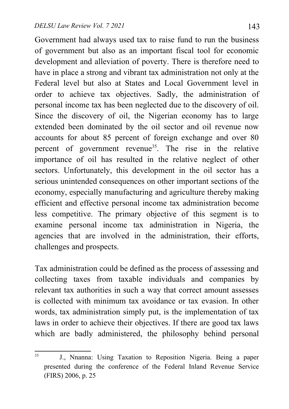Government had always used tax to raise fund to run the business of government but also as an important fiscal tool for economic development and alleviation of poverty. There is therefore need to have in place a strong and vibrant tax administration not only at the Federal level but also at States and Local Government level in order to achieve tax objectives. Sadly, the administration of personal income tax has been neglected due to the discovery of oil. Since the discovery of oil, the Nigerian economy has to large extended been dominated by the oil sector and oil revenue now accounts for about 85 percent of foreign exchange and over 80 percent of government revenue<sup>[35](#page-11-0)</sup>. The rise in the relative importance of oil has resulted in the relative neglect of other sectors. Unfortunately, this development in the oil sector has a serious unintended consequences on other important sections of the economy, especially manufacturing and agriculture thereby making efficient and effective personal income tax administration become less competitive. The primary objective of this segment is to examine personal income tax administration in Nigeria, the agencies that are involved in the administration, their efforts, challenges and prospects.

Tax administration could be defined as the process of assessing and collecting taxes from taxable individuals and companies by relevant tax authorities in such a way that correct amount assesses is collected with minimum tax avoidance or tax evasion. In other words, tax administration simply put, is the implementation of tax laws in order to achieve their objectives. If there are good tax laws which are badly administered, the philosophy behind personal

<span id="page-11-0"></span><sup>35</sup> J., Nnanna: Using Taxation to Reposition Nigeria. Being a paper presented during the conference of the Federal Inland Revenue Service (FIRS) 2006, p. 25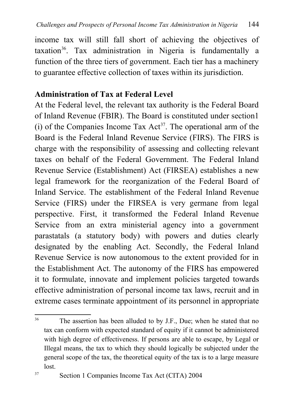income tax will still fall short of achieving the objectives of  $taxation<sup>36</sup>$  $taxation<sup>36</sup>$  $taxation<sup>36</sup>$ . Tax administration in Nigeria is fundamentally a function of the three tiers of government. Each tier has a machinery to guarantee effective collection of taxes within its jurisdiction.

# **Administration of Tax at Federal Level**

At the Federal level, the relevant tax authority is the Federal Board of Inland Revenue (FBIR). The Board is constituted under section1 (i) of the Companies Income Tax  $Act^{37}$  $Act^{37}$  $Act^{37}$ . The operational arm of the Board is the Federal Inland Revenue Service (FIRS). The FIRS is charge with the responsibility of assessing and collecting relevant taxes on behalf of the Federal Government. The Federal Inland Revenue Service (Establishment) Act (FIRSEA) establishes a new legal framework for the reorganization of the Federal Board of Inland Service. The establishment of the Federal Inland Revenue Service (FIRS) under the FIRSEA is very germane from legal perspective. First, it transformed the Federal Inland Revenue Service from an extra ministerial agency into a government parastatals (a statutory body) with powers and duties clearly designated by the enabling Act. Secondly, the Federal Inland Revenue Service is now autonomous to the extent provided for in the Establishment Act. The autonomy of the FIRS has empowered it to formulate, innovate and implement policies targeted towards effective administration of personal income tax laws, recruit and in extreme cases terminate appointment of its personnel in appropriate

<span id="page-12-0"></span><sup>&</sup>lt;sup>36</sup> The assertion has been alluded to by J.F., Due; when he stated that no tax can conform with expected standard of equity if it cannot be administered with high degree of effectiveness. If persons are able to escape, by Legal or Illegal means, the tax to which they should logically be subjected under the general scope of the tax, the theoretical equity of the tax is to a large measure lost.

<span id="page-12-1"></span><sup>37</sup> Section 1 Companies Income Tax Act (CITA) 2004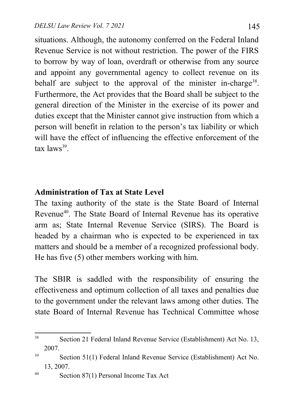situations. Although, the autonomy conferred on the Federal Inland Revenue Service is not without restriction. The power of the FIRS to borrow by way of loan, overdraft or otherwise from any source and appoint any governmental agency to collect revenue on its behalf are subject to the approval of the minister in-charge<sup>[38](#page-13-0)</sup>. Furthermore, the Act provides that the Board shall be subject to the general direction of the Minister in the exercise of its power and duties except that the Minister cannot give instruction from which a person will benefit in relation to the person's tax liability or which will have the effect of influencing the effective enforcement of the tax laws<sup>[39](#page-13-1)</sup>.

#### **Administration of Tax at State Level**

The taxing authority of the state is the State Board of Internal Revenue<sup>[40](#page-13-2)</sup>. The State Board of Internal Revenue has its operative arm as; State Internal Revenue Service (SIRS). The Board is headed by a chairman who is expected to be experienced in tax matters and should be a member of a recognized professional body. He has five (5) other members working with him.

The SBIR is saddled with the responsibility of ensuring the effectiveness and optimum collection of all taxes and penalties due to the government under the relevant laws among other duties. The state Board of Internal Revenue has Technical Committee whose

<span id="page-13-0"></span><sup>38</sup> Section 21 Federal Inland Revenue Service (Establishment) Act No. 13, 2007.

<span id="page-13-1"></span><sup>39</sup> Section 51(1) Federal Inland Revenue Service (Establishment) Act No. 13, 2007.

<span id="page-13-2"></span><sup>40</sup> Section 87(1) Personal Income Tax Act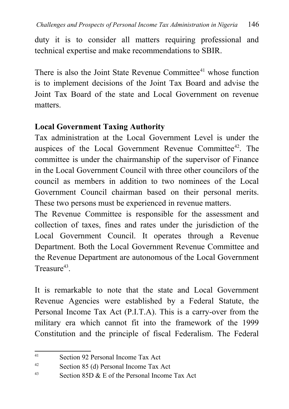duty it is to consider all matters requiring professional and technical expertise and make recommendations to SBIR.

There is also the Joint State Revenue Committee<sup>[41](#page-14-0)</sup> whose function is to implement decisions of the Joint Tax Board and advise the Joint Tax Board of the state and Local Government on revenue matters.

## **Local Government Taxing Authority**

Tax administration at the Local Government Level is under the auspices of the Local Government Revenue Committee<sup>[42](#page-14-1)</sup>. The committee is under the chairmanship of the supervisor of Finance in the Local Government Council with three other councilors of the council as members in addition to two nominees of the Local Government Council chairman based on their personal merits. These two persons must be experienced in revenue matters.

The Revenue Committee is responsible for the assessment and collection of taxes, fines and rates under the jurisdiction of the Local Government Council. It operates through a Revenue Department. Both the Local Government Revenue Committee and the Revenue Department are autonomous of the Local Government Treasure<sup>[43](#page-14-2)</sup>.

It is remarkable to note that the state and Local Government Revenue Agencies were established by a Federal Statute, the Personal Income Tax Act (P.I.T.A). This is a carry-over from the military era which cannot fit into the framework of the 1999 Constitution and the principle of fiscal Federalism. The Federal

<span id="page-14-0"></span><sup>41</sup> Section 92 Personal Income Tax Act

<span id="page-14-1"></span><sup>42</sup> Section 85 (d) Personal Income Tax Act

<span id="page-14-2"></span><sup>&</sup>lt;sup>43</sup> Section 85D  $\&$  E of the Personal Income Tax Act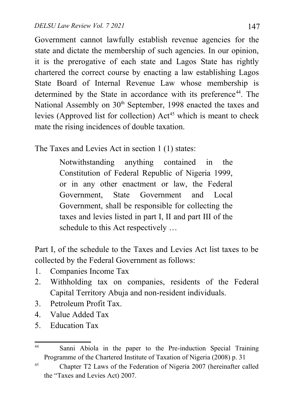Government cannot lawfully establish revenue agencies for the state and dictate the membership of such agencies. In our opinion, it is the prerogative of each state and Lagos State has rightly chartered the correct course by enacting a law establishing Lagos State Board of Internal Revenue Law whose membership is determined by the State in accordance with its preference<sup>[44](#page-15-0)</sup>. The National Assembly on 30<sup>th</sup> September, 1998 enacted the taxes and levies (Approved list for collection)  $Act^{45}$  $Act^{45}$  $Act^{45}$  which is meant to check mate the rising incidences of double taxation.

The Taxes and Levies Act in section 1 (1) states:

Notwithstanding anything contained in the Constitution of Federal Republic of Nigeria 1999, or in any other enactment or law, the Federal Government, State Government and Local Government, shall be responsible for collecting the taxes and levies listed in part I, II and part III of the schedule to this Act respectively …

Part I, of the schedule to the Taxes and Levies Act list taxes to be collected by the Federal Government as follows:

- 1. Companies Income Tax
- 2. Withholding tax on companies, residents of the Federal Capital Territory Abuja and non-resident individuals.
- 3. Petroleum Profit Tax.
- 4. Value Added Tax
- 5. Education Tax

<span id="page-15-0"></span><sup>44</sup> Sanni Abiola in the paper to the Pre-induction Special Training Programme of the Chartered Institute of Taxation of Nigeria (2008) p. 31

<span id="page-15-1"></span><sup>&</sup>lt;sup>45</sup> Chapter T2 Laws of the Federation of Nigeria 2007 (hereinafter called the "Taxes and Levies Act) 2007.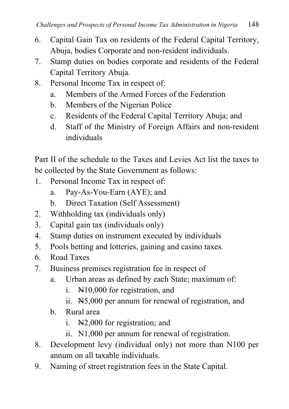- 6. Capital Gain Tax on residents of the Federal Capital Territory, Abuja, bodies Corporate and non-resident individuals.
- 7. Stamp duties on bodies corporate and residents of the Federal Capital Territory Abuja.
- 8. Personal Income Tax in respect of:
	- a. Members of the Armed Forces of the Federation
	- b. Members of the Nigerian Police
	- c. Residents of the Federal Capital Territory Abuja; and
	- d. Staff of the Ministry of Foreign Affairs and non-resident individuals

Part II of the schedule to the Taxes and Levies Act list the taxes to be collected by the State Government as follows:

- 1. Personal Income Tax in respect of:
	- a. Pay-As-You-Earn (AYE); and
	- b. Direct Taxation (Self Assessment)
- 2. Withholding tax (individuals only)
- 3. Capital gain tax (individuals only)
- 4. Stamp duties on instrument executed by individuals
- 5. Pools betting and lotteries, gaining and casino taxes.
- 6. Road Taxes
- 7. Business premises registration fee in respect of
	- a. Urban areas as defined by each State; maximum of:
		- i.  $\mathbb{H}10,000$  for registration, and
		- ii. N5,000 per annum for renewal of registration, and
	- b. Rural area
		- i. N2,000 for registration; and
		- ii. N1,000 per annum for renewal of registration.
- 8. Development levy (individual only) not more than N100 per annum on all taxable individuals.
- 9. Naming of street registration fees in the State Capital.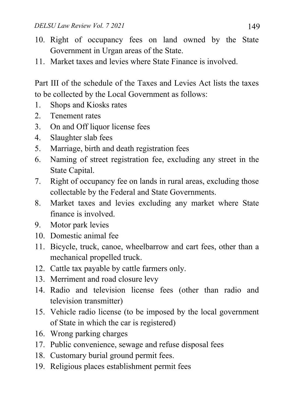- 10. Right of occupancy fees on land owned by the State Government in Urgan areas of the State.
- 11. Market taxes and levies where State Finance is involved.

Part III of the schedule of the Taxes and Levies Act lists the taxes to be collected by the Local Government as follows:

- 1. Shops and Kiosks rates
- 2. Tenement rates
- 3. On and Off liquor license fees
- 4. Slaughter slab fees
- 5. Marriage, birth and death registration fees
- 6. Naming of street registration fee, excluding any street in the State Capital.
- 7. Right of occupancy fee on lands in rural areas, excluding those collectable by the Federal and State Governments.
- 8. Market taxes and levies excluding any market where State finance is involved.
- 9. Motor park levies
- 10. Domestic animal fee
- 11. Bicycle, truck, canoe, wheelbarrow and cart fees, other than a mechanical propelled truck.
- 12. Cattle tax payable by cattle farmers only.
- 13. Merriment and road closure levy
- 14. Radio and television license fees (other than radio and television transmitter)
- 15. Vehicle radio license (to be imposed by the local government of State in which the car is registered)
- 16. Wrong parking charges
- 17. Public convenience, sewage and refuse disposal fees
- 18. Customary burial ground permit fees.
- 19. Religious places establishment permit fees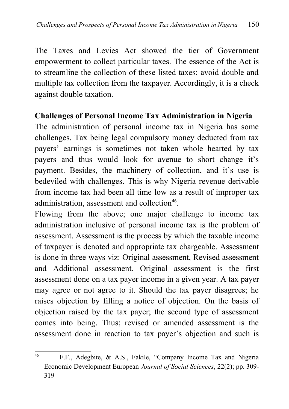The Taxes and Levies Act showed the tier of Government empowerment to collect particular taxes. The essence of the Act is to streamline the collection of these listed taxes; avoid double and multiple tax collection from the taxpayer. Accordingly, it is a check against double taxation.

#### **Challenges of Personal Income Tax Administration in Nigeria**

The administration of personal income tax in Nigeria has some challenges. Tax being legal compulsory money deducted from tax payers' earnings is sometimes not taken whole hearted by tax payers and thus would look for avenue to short change it's payment. Besides, the machinery of collection, and it's use is bedeviled with challenges. This is why Nigeria revenue derivable from income tax had been all time low as a result of improper tax administration, assessment and collection<sup>[46](#page-18-0)</sup>.

Flowing from the above; one major challenge to income tax administration inclusive of personal income tax is the problem of assessment. Assessment is the process by which the taxable income of taxpayer is denoted and appropriate tax chargeable. Assessment is done in three ways viz: Original assessment, Revised assessment and Additional assessment. Original assessment is the first assessment done on a tax payer income in a given year. A tax payer may agree or not agree to it. Should the tax payer disagrees; he raises objection by filling a notice of objection. On the basis of objection raised by the tax payer; the second type of assessment comes into being. Thus; revised or amended assessment is the assessment done in reaction to tax payer's objection and such is

<span id="page-18-0"></span><sup>46</sup> F.F., Adegbite, & A.S., Fakile, "Company Income Tax and Nigeria Economic Development European *Journal of Social Sciences*, 22(2); pp. 309- 319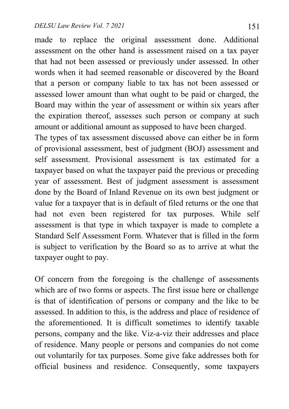made to replace the original assessment done. Additional assessment on the other hand is assessment raised on a tax payer that had not been assessed or previously under assessed. In other words when it had seemed reasonable or discovered by the Board that a person or company liable to tax has not been assessed or assessed lower amount than what ought to be paid or charged, the Board may within the year of assessment or within six years after the expiration thereof, assesses such person or company at such amount or additional amount as supposed to have been charged.

The types of tax assessment discussed above can either be in form of provisional assessment, best of judgment (BOJ) assessment and self assessment. Provisional assessment is tax estimated for a taxpayer based on what the taxpayer paid the previous or preceding year of assessment. Best of judgment assessment is assessment done by the Board of Inland Revenue on its own best judgment or value for a taxpayer that is in default of filed returns or the one that had not even been registered for tax purposes. While self assessment is that type in which taxpayer is made to complete a Standard Self Assessment Form. Whatever that is filled in the form is subject to verification by the Board so as to arrive at what the taxpayer ought to pay.

Of concern from the foregoing is the challenge of assessments which are of two forms or aspects. The first issue here or challenge is that of identification of persons or company and the like to be assessed. In addition to this, is the address and place of residence of the aforementioned. It is difficult sometimes to identify taxable persons, company and the like. Viz-a-viz their addresses and place of residence. Many people or persons and companies do not come out voluntarily for tax purposes. Some give fake addresses both for official business and residence. Consequently, some taxpayers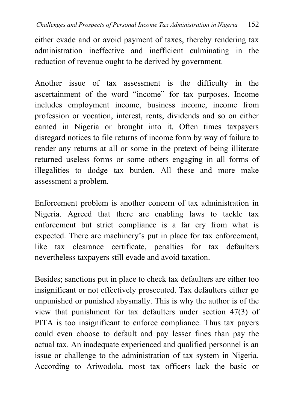either evade and or avoid payment of taxes, thereby rendering tax administration ineffective and inefficient culminating in the reduction of revenue ought to be derived by government.

Another issue of tax assessment is the difficulty in the ascertainment of the word "income" for tax purposes. Income includes employment income, business income, income from profession or vocation, interest, rents, dividends and so on either earned in Nigeria or brought into it. Often times taxpayers disregard notices to file returns of income form by way of failure to render any returns at all or some in the pretext of being illiterate returned useless forms or some others engaging in all forms of illegalities to dodge tax burden. All these and more make assessment a problem.

Enforcement problem is another concern of tax administration in Nigeria. Agreed that there are enabling laws to tackle tax enforcement but strict compliance is a far cry from what is expected. There are machinery's put in place for tax enforcement, like tax clearance certificate, penalties for tax defaulters nevertheless taxpayers still evade and avoid taxation.

Besides; sanctions put in place to check tax defaulters are either too insignificant or not effectively prosecuted. Tax defaulters either go unpunished or punished abysmally. This is why the author is of the view that punishment for tax defaulters under section 47(3) of PITA is too insignificant to enforce compliance. Thus tax payers could even choose to default and pay lesser fines than pay the actual tax. An inadequate experienced and qualified personnel is an issue or challenge to the administration of tax system in Nigeria. According to Ariwodola, most tax officers lack the basic or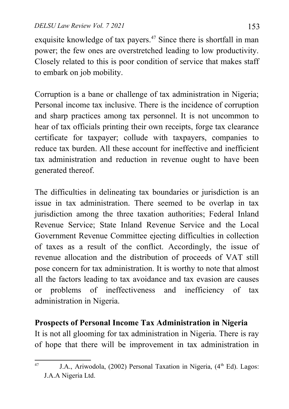exquisite knowledge of tax payers.<sup>[47](#page-21-0)</sup> Since there is shortfall in man power; the few ones are overstretched leading to low productivity. Closely related to this is poor condition of service that makes staff to embark on job mobility.

Corruption is a bane or challenge of tax administration in Nigeria; Personal income tax inclusive. There is the incidence of corruption and sharp practices among tax personnel. It is not uncommon to hear of tax officials printing their own receipts, forge tax clearance certificate for taxpayer; collude with taxpayers, companies to reduce tax burden. All these account for ineffective and inefficient tax administration and reduction in revenue ought to have been generated thereof.

The difficulties in delineating tax boundaries or jurisdiction is an issue in tax administration. There seemed to be overlap in tax jurisdiction among the three taxation authorities; Federal Inland Revenue Service; State Inland Revenue Service and the Local Government Revenue Committee ejecting difficulties in collection of taxes as a result of the conflict. Accordingly, the issue of revenue allocation and the distribution of proceeds of VAT still pose concern for tax administration. It is worthy to note that almost all the factors leading to tax avoidance and tax evasion are causes or problems of ineffectiveness and inefficiency of tax administration in Nigeria.

## **Prospects of Personal Income Tax Administration in Nigeria**

It is not all glooming for tax administration in Nigeria. There is ray of hope that there will be improvement in tax administration in

<span id="page-21-0"></span><sup>&</sup>lt;sup>47</sup> J.A., Ariwodola, (2002) Personal Taxation in Nigeria,  $(4<sup>th</sup> Ed)$ . Lagos: J.A.A Nigeria Ltd.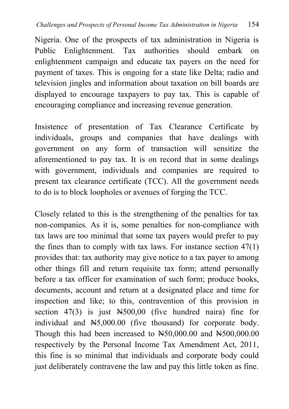Nigeria. One of the prospects of tax administration in Nigeria is Public Enlightenment. Tax authorities should embark on enlightenment campaign and educate tax payers on the need for payment of taxes. This is ongoing for a state like Delta; radio and television jingles and information about taxation on bill boards are displayed to encourage taxpayers to pay tax. This is capable of encouraging compliance and increasing revenue generation.

Insistence of presentation of Tax Clearance Certificate by individuals, groups and companies that have dealings with government on any form of transaction will sensitize the aforementioned to pay tax. It is on record that in some dealings with government, individuals and companies are required to present tax clearance certificate (TCC). All the government needs to do is to block loopholes or avenues of forging the TCC.

Closely related to this is the strengthening of the penalties for tax non-companies. As it is, some penalties for non-compliance with tax laws are too minimal that some tax payers would prefer to pay the fines than to comply with tax laws. For instance section  $47(1)$ provides that: tax authority may give notice to a tax payer to among other things fill and return requisite tax form; attend personally before a tax officer for examination of such form; produce books, documents, account and return at a designated place and time for inspection and like; to this, contravention of this provision in section 47(3) is just N500,00 (five hundred naira) fine for individual and N5,000.00 (five thousand) for corporate body. Though this had been increased to  $\text{N50,000.00}$  and  $\text{N500,000.00}$ respectively by the Personal Income Tax Amendment Act, 2011, this fine is so minimal that individuals and corporate body could just deliberately contravene the law and pay this little token as fine.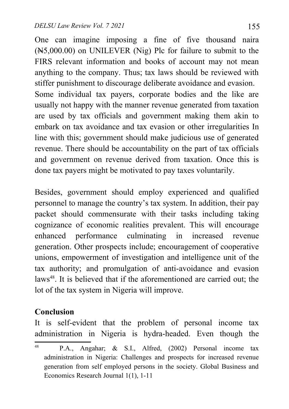One can imagine imposing a fine of five thousand naira (N5,000.00) on UNILEVER (Nig) Plc for failure to submit to the FIRS relevant information and books of account may not mean anything to the company. Thus; tax laws should be reviewed with stiffer punishment to discourage deliberate avoidance and evasion. Some individual tax payers, corporate bodies and the like are usually not happy with the manner revenue generated from taxation are used by tax officials and government making them akin to embark on tax avoidance and tax evasion or other irregularities In line with this; government should make judicious use of generated revenue. There should be accountability on the part of tax officials and government on revenue derived from taxation. Once this is done tax payers might be motivated to pay taxes voluntarily.

Besides, government should employ experienced and qualified personnel to manage the country's tax system. In addition, their pay packet should commensurate with their tasks including taking cognizance of economic realities prevalent. This will encourage enhanced performance culminating in increased revenue generation. Other prospects include; encouragement of cooperative unions, empowerment of investigation and intelligence unit of the tax authority; and promulgation of anti-avoidance and evasion laws<sup>[48](#page-23-0)</sup>. It is believed that if the aforementioned are carried out; the lot of the tax system in Nigeria will improve.

## **Conclusion**

It is self-evident that the problem of personal income tax administration in Nigeria is hydra-headed. Even though the

<span id="page-23-0"></span><sup>48</sup> P.A., Angahar; & S.I., Alfred, (2002) Personal income tax administration in Nigeria: Challenges and prospects for increased revenue generation from self employed persons in the society. Global Business and Economics Research Journal 1(1), 1-11